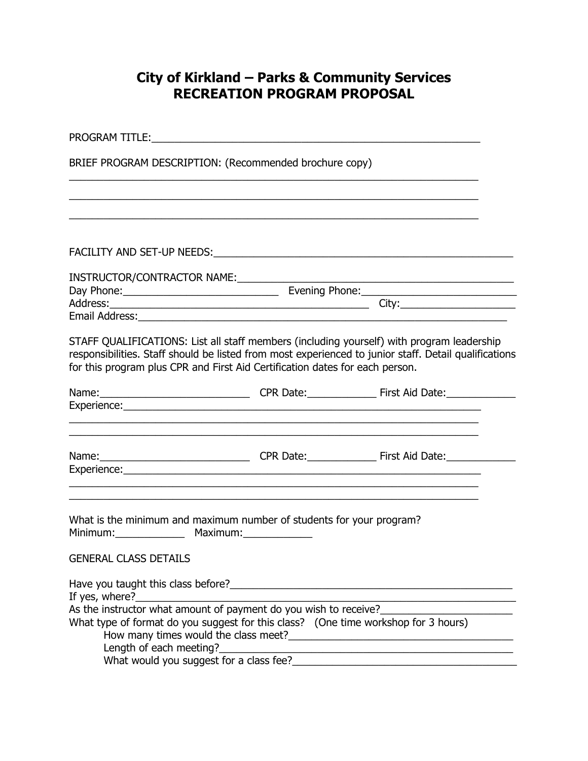## **City of Kirkland – Parks & Community Services RECREATION PROGRAM PROPOSAL**

| <b>PROGRAM TITLE:</b> THE RESERVE TO A 2009 THE RESERVE TO A 2009 THE RESERVE TO A 2009 THE RESERVE TO A 2009 THE RESERVE TO A 2009 THE RESERVE TO A 2009 THE RESERVE TO A 2009 THE RESERVE TO A 2009 THE RESERVE TO A 2009 THE RES<br>BRIEF PROGRAM DESCRIPTION: (Recommended brochure copy) |  |                                                                                                                                                                                                    |  |  |
|-----------------------------------------------------------------------------------------------------------------------------------------------------------------------------------------------------------------------------------------------------------------------------------------------|--|----------------------------------------------------------------------------------------------------------------------------------------------------------------------------------------------------|--|--|
|                                                                                                                                                                                                                                                                                               |  |                                                                                                                                                                                                    |  |  |
| FACILITY AND SET-UP NEEDS: Network and the contract of the contract of the contract of the contract of the contract of the contract of the contract of the contract of the contract of the contract of the contract of the con                                                                |  |                                                                                                                                                                                                    |  |  |
|                                                                                                                                                                                                                                                                                               |  |                                                                                                                                                                                                    |  |  |
|                                                                                                                                                                                                                                                                                               |  |                                                                                                                                                                                                    |  |  |
|                                                                                                                                                                                                                                                                                               |  |                                                                                                                                                                                                    |  |  |
| for this program plus CPR and First Aid Certification dates for each person.                                                                                                                                                                                                                  |  | STAFF QUALIFICATIONS: List all staff members (including yourself) with program leadership<br>responsibilities. Staff should be listed from most experienced to junior staff. Detail qualifications |  |  |
|                                                                                                                                                                                                                                                                                               |  | <u> 1989 - Johann Stoff, amerikansk politiker (d. 1989)</u>                                                                                                                                        |  |  |
|                                                                                                                                                                                                                                                                                               |  |                                                                                                                                                                                                    |  |  |
| What is the minimum and maximum number of students for your program?<br>Minimum: Maximum:<br><b>GENERAL CLASS DETAILS</b>                                                                                                                                                                     |  |                                                                                                                                                                                                    |  |  |
|                                                                                                                                                                                                                                                                                               |  |                                                                                                                                                                                                    |  |  |
| If yes, where?<br><u> 1990 - Johann Barbara, martxa</u>                                                                                                                                                                                                                                       |  |                                                                                                                                                                                                    |  |  |
| As the instructor what amount of payment do you wish to receive?                                                                                                                                                                                                                              |  |                                                                                                                                                                                                    |  |  |
| What type of format do you suggest for this class? (One time workshop for 3 hours)                                                                                                                                                                                                            |  |                                                                                                                                                                                                    |  |  |
|                                                                                                                                                                                                                                                                                               |  |                                                                                                                                                                                                    |  |  |
| What would you suggest for a class fee?_                                                                                                                                                                                                                                                      |  |                                                                                                                                                                                                    |  |  |